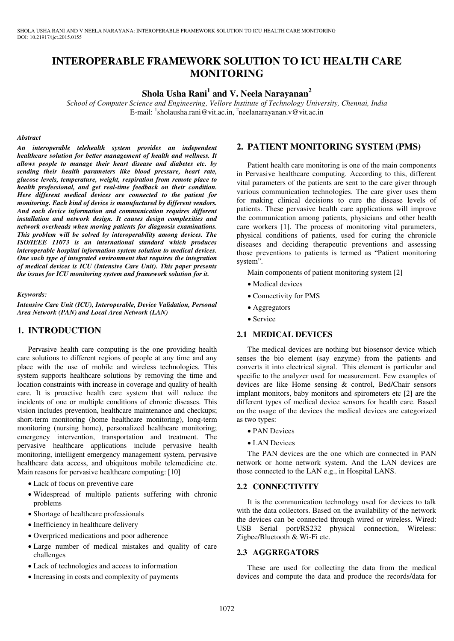# **INTEROPERABLE FRAMEWORK SOLUTION TO ICU HEALTH CARE MONITORING**

# **Shola Usha Rani<sup>1</sup> and V. Neela Narayanan<sup>2</sup>**

*School of Computer Science and Engineering, Vellore Institute of Technology University, Chennai, India*  E-mail: <sup>1</sup>sholausha.rani@vit.ac.in, <sup>2</sup>neelanarayanan.v@vit.ac.in

#### *Abstract*

*An interoperable telehealth system provides an independent healthcare solution for better management of health and wellness. It allows people to manage their heart disease and diabetes etc. by sending their health parameters like blood pressure, heart rate, glucose levels, temperature, weight, respiration from remote place to health professional, and get real-time feedback on their condition. Here different medical devices are connected to the patient for monitoring. Each kind of device is manufactured by different vendors. And each device information and communication requires different installation and network design. It causes design complexities and network overheads when moving patients for diagnosis examinations. This problem will be solved by interoperability among devices. The ISO/IEEE 11073 is an international standard which produces interoperable hospital information system solution to medical devices. One such type of integrated environment that requires the integration of medical devices is ICU (Intensive Care Unit). This paper presents the issues for ICU monitoring system and framework solution for it.* 

#### *Keywords:*

*Intensive Care Unit (ICU), Interoperable, Device Validation, Personal Area Network (PAN) and Local Area Network (LAN)* 

# **1. INTRODUCTION**

Pervasive health care computing is the one providing health care solutions to different regions of people at any time and any place with the use of mobile and wireless technologies. This system supports healthcare solutions by removing the time and location constraints with increase in coverage and quality of health care. It is proactive health care system that will reduce the incidents of one or multiple conditions of chronic diseases. This vision includes prevention, healthcare maintenance and checkups; short-term monitoring (home healthcare monitoring), long-term monitoring (nursing home), personalized healthcare monitoring; emergency intervention, transportation and treatment. The pervasive healthcare applications include pervasive health monitoring, intelligent emergency management system, pervasive healthcare data access, and ubiquitous mobile telemedicine etc. Main reasons for pervasive healthcare computing: [10]

- Lack of focus on preventive care
- Widespread of multiple patients suffering with chronic problems
- Shortage of healthcare professionals
- Inefficiency in healthcare delivery
- Overpriced medications and poor adherence
- Large number of medical mistakes and quality of care challenges
- Lack of technologies and access to information
- Increasing in costs and complexity of payments

### **2. PATIENT MONITORING SYSTEM (PMS)**

Patient health care monitoring is one of the main components in Pervasive healthcare computing. According to this, different vital parameters of the patients are sent to the care giver through various communication technologies. The care giver uses them for making clinical decisions to cure the disease levels of patients. These pervasive health care applications will improve the communication among patients, physicians and other health care workers [1]. The process of monitoring vital parameters, physical conditions of patients, used for curing the chronicle diseases and deciding therapeutic preventions and assessing those preventions to patients is termed as "Patient monitoring system".

Main components of patient monitoring system [2]

- Medical devices
- Connectivity for PMS
- Aggregators
- Service

### **2.1 MEDICAL DEVICES**

The medical devices are nothing but biosensor device which senses the bio element (say enzyme) from the patients and converts it into electrical signal. This element is particular and specific to the analyzer used for measurement. Few examples of devices are like Home sensing & control, Bed/Chair sensors implant monitors, baby monitors and spirometers etc [2] are the different types of medical device sensors for health care. Based on the usage of the devices the medical devices are categorized as two types:

- PAN Devices
- LAN Devices

The PAN devices are the one which are connected in PAN network or home network system. And the LAN devices are those connected to the LAN e.g., in Hospital LANS.

# **2.2 CONNECTIVITY**

It is the communication technology used for devices to talk with the data collectors. Based on the availability of the network the devices can be connected through wired or wireless. Wired: USB Serial port/RS232 physical connection, Wireless: Zigbee/Bluetooth & Wi-Fi etc.

#### **2.3 AGGREGATORS**

These are used for collecting the data from the medical devices and compute the data and produce the records/data for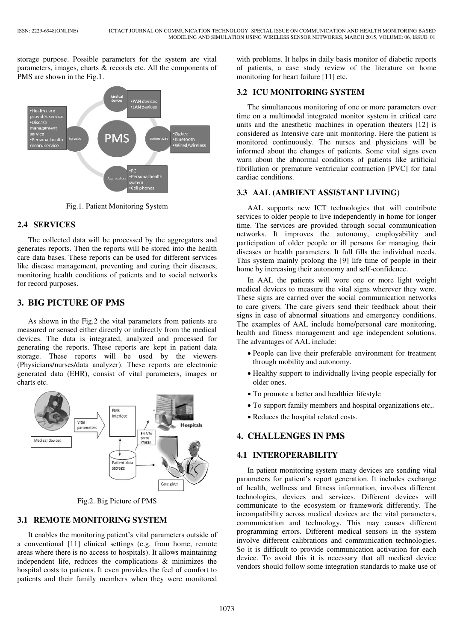storage purpose. Possible parameters for the system are vital parameters, images, charts & records etc. All the components of PMS are shown in the Fig.1.



Fig.1. Patient Monitoring System

# **2.4 SERVICES**

The collected data will be processed by the aggregators and generates reports. Then the reports will be stored into the health care data bases. These reports can be used for different services like disease management, preventing and curing their diseases, monitoring health conditions of patients and to social networks for record purposes.

# **3. BIG PICTURE OF PMS**

As shown in the Fig.2 the vital parameters from patients are measured or sensed either directly or indirectly from the medical devices. The data is integrated, analyzed and processed for generating the reports. These reports are kept in patient data storage. These reports will be used by the viewers (Physicians/nurses/data analyzer). These reports are electronic generated data (EHR), consist of vital parameters, images or charts etc.



Fig.2. Big Picture of PMS

# **3.1 REMOTE MONITORING SYSTEM**

It enables the monitoring patient's vital parameters outside of a conventional [11] clinical settings (e.g. from home, remote areas where there is no access to hospitals). It allows maintaining independent life, reduces the complications & minimizes the hospital costs to patients. It even provides the feel of comfort to patients and their family members when they were monitored

with problems. It helps in daily basis monitor of diabetic reports of patients, a case study review of the literature on home monitoring fo[r heart failure](http://en.wikipedia.org/wiki/Heart_failure) [11] etc.

# **3.2 ICU MONITORING SYSTEM**

The simultaneous monitoring of one or more parameters over time on a multimodal integrated monitor system in critical care units and the anesthetic machines in operation theaters [12] is considered as Intensive care unit monitoring. Here the patient is monitored continuously. The nurses and physicians will be informed about the changes of patients. Some vital signs even warn about the abnormal conditions of patients like artificial fibrillation or premature ventricular contraction [PVC] for fatal cardiac conditions.

# **3.3 AAL (AMBIENT ASSISTANT LIVING)**

AAL supports new ICT technologies that will contribute services to older people to live independently in home for longer time. The services are provided through social communication networks. It improves the autonomy, employability and participation of older people or ill persons for managing their diseases or health parameters. It full fills the individual needs. This system mainly prolong the [9] life time of people in their home by increasing their autonomy and self-confidence.

In AAL the patients will wore one or more light weight medical devices to measure the vital signs wherever they were. These signs are carried over the social communication networks to care givers. The care givers send their feedback about their signs in case of abnormal situations and emergency conditions. The examples of AAL include home/personal care monitoring, health and fitness management and age independent solutions. The advantages of AAL include:

- People can live their preferable environment for treatment through mobility and autonomy.
- Healthy support to individually living people especially for older ones.
- To promote a better and healthier lifestyle
- To support family members and hospital organizations etc,.
- Reduces the hospital related costs.

# **4. CHALLENGES IN PMS**

# **4.1 INTEROPERABILITY**

In patient monitoring system many devices are sending vital parameters for patient's report generation. It includes exchange of health, wellness and fitness information, involves different technologies, devices and services. Different devices will communicate to the ecosystem or framework differently. The incompatibility across medical devices are the vital parameters, communication and technology. This may causes different programming errors. Different medical sensors in the system involve different calibrations and communication technologies. So it is difficult to provide communication activation for each device. To avoid this it is necessary that all medical device vendors should follow some integration standards to make use of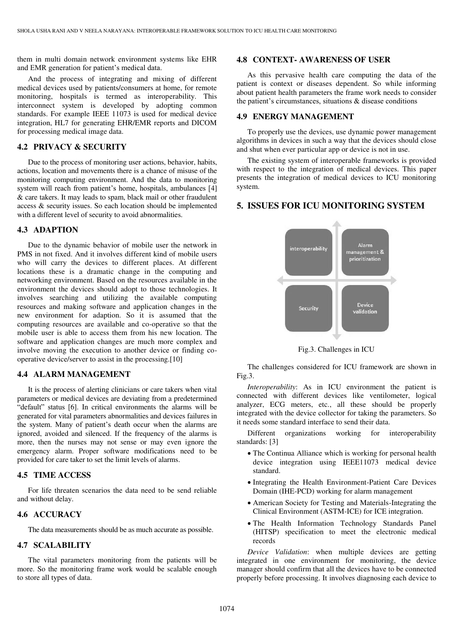them in multi domain network environment systems like EHR and EMR generation for patient's medical data.

And the process of integrating and mixing of different medical devices used by patients/consumers at home, for remote monitoring, hospitals is termed as interoperability. This interconnect system is developed by adopting common standards. For example IEEE 11073 is used for medical device integration, HL7 for generating EHR/EMR reports and DICOM for processing medical image data.

### **4.2 PRIVACY & SECURITY**

Due to the process of monitoring user actions, behavior, habits, actions, location and movements there is a chance of misuse of the monitoring computing environment. And the data to monitoring system will reach from patient's home, hospitals, ambulances [4] & care takers. It may leads to spam, black mail or other fraudulent access & security issues. So each location should be implemented with a different level of security to avoid abnormalities.

### **4.3 ADAPTION**

Due to the dynamic behavior of mobile user the network in PMS in not fixed. And it involves different kind of mobile users who will carry the devices to different places. At different locations these is a dramatic change in the computing and networking environment. Based on the resources available in the environment the devices should adopt to those technologies. It involves searching and utilizing the available computing resources and making software and application changes in the new environment for adaption. So it is assumed that the computing resources are available and co-operative so that the mobile user is able to access them from his new location. The software and application changes are much more complex and involve moving the execution to another device or finding cooperative device/server to assist in the processing.[10]

# **4.4 ALARM MANAGEMENT**

It is the process of alerting clinicians or care takers when vital parameters or medical devices are deviating from a predetermined "default" status [6]. In critical environments the alarms will be generated for vital parameters abnormalities and devices failures in the system. Many of patient's death occur when the alarms are ignored, avoided and silenced. If the frequency of the alarms is more, then the nurses may not sense or may even ignore the emergency alarm. Proper software modifications need to be provided for care taker to set the limit levels of alarms.

### **4.5 TIME ACCESS**

For life threaten scenarios the data need to be send reliable and without delay.

# **4.6 ACCURACY**

The data measurements should be as much accurate as possible.

# **4.7 SCALABILITY**

The vital parameters monitoring from the patients will be more. So the monitoring frame work would be scalable enough to store all types of data.

#### **4.8 CONTEXT- AWARENESS OF USER**

As this pervasive health care computing the data of the patient is context or diseases dependent. So while informing about patient health parameters the frame work needs to consider the patient's circumstances, situations  $\&$  disease conditions

# **4.9 ENERGY MANAGEMENT**

To properly use the devices, use dynamic power management algorithms in devices in such a way that the devices should close and shut when ever particular app or device is not in use.

The existing system of interoperable frameworks is provided with respect to the integration of medical devices. This paper presents the integration of medical devices to ICU monitoring system.

# **5. ISSUES FOR ICU MONITORING SYSTEM**



Fig.3. Challenges in ICU

The challenges considered for ICU framework are shown in Fig.3.

*Interoperability*: As in ICU environment the patient is connected with different devices like ventilometer, logical analyzer, ECG meters, etc., all these should be properly integrated with the device collector for taking the parameters. So it needs some standard interface to send their data.

Different organizations working for interoperability standards: [3]

- The Continua Alliance which is working for personal health device integration using IEEE11073 medical device standard.
- Integrating the Health Environment-Patient Care Devices Domain (IHE-PCD) working for alarm management
- American Society for Testing and Materials-Integrating the Clinical Environment (ASTM-ICE) for ICE integration.
- The Health Information Technology Standards Panel (HITSP) specification to meet the electronic medical records

*Device Validation*: when multiple devices are getting integrated in one environment for monitoring, the device manager should confirm that all the devices have to be connected properly before processing. It involves diagnosing each device to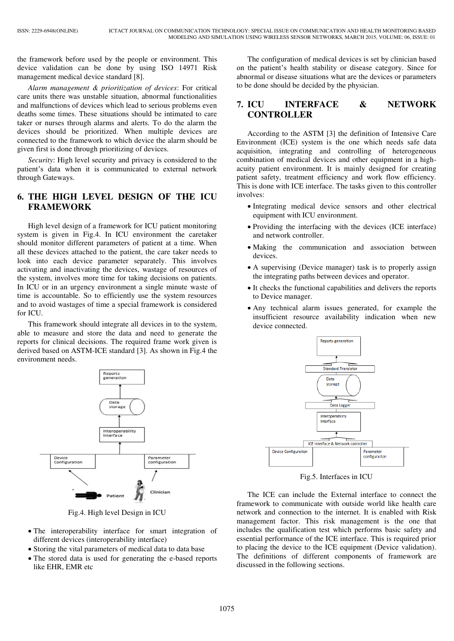the framework before used by the people or environment. This device validation can be done by using ISO 14971 Risk management medical device standard [8].

*Alarm management & prioritization of devices*: For critical care units there was unstable situation, abnormal functionalities and malfunctions of devices which lead to serious problems even deaths some times. These situations should be intimated to care taker or nurses through alarms and alerts. To do the alarm the devices should be prioritized. When multiple devices are connected to the framework to which device the alarm should be given first is done through prioritizing of devices.

*Security*: High level security and privacy is considered to the patient's data when it is communicated to external network through Gateways.

# **6. THE HIGH LEVEL DESIGN OF THE ICU FRAMEWORK**

High level design of a framework for ICU patient monitoring system is given in Fig.4. In ICU environment the caretaker should monitor different parameters of patient at a time. When all these devices attached to the patient, the care taker needs to look into each device parameter separately. This involves activating and inactivating the devices, wastage of resources of the system, involves more time for taking decisions on patients. In ICU or in an urgency environment a single minute waste of time is accountable. So to efficiently use the system resources and to avoid wastages of time a special framework is considered for ICU.

This framework should integrate all devices in to the system, able to measure and store the data and need to generate the reports for clinical decisions. The required frame work given is derived based on ASTM-ICE standard [3]. As shown in Fig.4 the environment needs.



Fig.4. High level Design in ICU

- The interoperability interface for smart integration of different devices (interoperability interface)
- Storing the vital parameters of medical data to data base
- The stored data is used for generating the e-based reports like EHR, EMR etc

The configuration of medical devices is set by clinician based on the patient's health stability or disease category. Since for abnormal or disease situations what are the devices or parameters to be done should be decided by the physician.

# **7. ICU INTERFACE & NETWORK CONTROLLER**

According to the ASTM [3] the definition of Intensive Care Environment (ICE) system is the one which needs safe data acquisition, integrating and controlling of heterogeneous combination of medical devices and other equipment in a highacuity patient environment. It is mainly designed for creating patient safety, treatment efficiency and work flow efficiency. This is done with ICE interface. The tasks given to this controller involves:

- Integrating medical device sensors and other electrical equipment with ICU environment.
- Providing the interfacing with the devices (ICE interface) and network controller.
- Making the communication and association between devices.
- A supervising (Device manager) task is to properly assign the integrating paths between devices and operator.
- It checks the functional capabilities and delivers the reports to Device manager.
- Any technical alarm issues generated, for example the insufficient resource availability indication when new device connected.



Fig.5. Interfaces in ICU

The ICE can include the External interface to connect the framework to communicate with outside world like health care network and connection to the internet. It is enabled with Risk management factor. This risk management is the one that includes the qualification test which performs basic safety and essential performance of the ICE interface. This is required prior to placing the device to the ICE equipment (Device validation). The definitions of different components of framework are discussed in the following sections.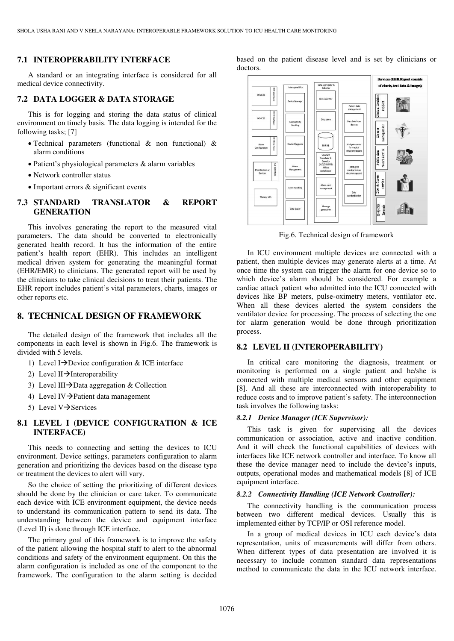#### **7.1 INTEROPERABILITY INTERFACE**

A standard or an integrating interface is considered for all medical device connectivity.

# **7.2 DATA LOGGER & DATA STORAGE**

This is for logging and storing the data status of clinical environment on timely basis. The data logging is intended for the following tasks; [7]

- Technical parameters (functional & non functional) & alarm conditions
- Patient's physiological parameters & alarm variables
- Network controller status
- Important errors & significant events

# **7.3 STANDARD TRANSLATOR & REPORT GENERATION**

This involves generating the report to the measured vital parameters. The data should be converted to electronically generated health record. It has the information of the entire patient's health report (EHR). This includes an intelligent medical driven system for generating the meaningful format (EHR/EMR) to clinicians. The generated report will be used by the clinicians to take clinical decisions to treat their patients. The EHR report includes patient's vital parameters, charts, images or other reports etc.

# **8. TECHNICAL DESIGN OF FRAMEWORK**

The detailed design of the framework that includes all the components in each level is shown in Fig.6. The framework is divided with 5 levels.

- 1) Level I $\rightarrow$ Device configuration & ICE interface
- 2) Level II $\rightarrow$ Interoperability
- 3) Level III $\rightarrow$ Data aggregation & Collection
- 4) Level IV $\rightarrow$ Patient data management
- 5) Level  $V\rightarrow$ Services

# **8.1 LEVEL I (DEVICE CONFIGURATION & ICE INTERFACE)**

This needs to connecting and setting the devices to ICU environment. Device settings, parameters configuration to alarm generation and prioritizing the devices based on the disease type or treatment the devices to alert will vary.

So the choice of setting the prioritizing of different devices should be done by the clinician or care taker. To communicate each device with ICE environment equipment, the device needs to understand its communication pattern to send its data. The understanding between the device and equipment interface (Level II) is done through ICE interface.

The primary goal of this framework is to improve the safety of the patient allowing the hospital staff to alert to the abnormal conditions and safety of the environment equipment. On this the alarm configuration is included as one of the component to the framework. The configuration to the alarm setting is decided

based on the patient disease level and is set by clinicians or doctors.



Fig.6. Technical design of framework

In ICU environment multiple devices are connected with a patient, then multiple devices may generate alerts at a time. At once time the system can trigger the alarm for one device so to which device's alarm should be considered. For example a cardiac attack patient who admitted into the ICU connected with devices like BP meters, pulse-oximetry meters, ventilator etc. When all these devices alerted the system considers the ventilator device for processing. The process of selecting the one for alarm generation would be done through prioritization process.

## **8.2 LEVEL II (INTEROPERABILITY)**

In critical care monitoring the diagnosis, treatment or monitoring is performed on a single patient and he/she is connected with multiple medical sensors and other equipment [8]. And all these are interconnected with interoperability to reduce costs and to improve patient's safety. The interconnection task involves the following tasks:

#### *8.2.1 Device Manager (ICE Supervisor):*

This task is given for supervising all the devices communication or association, active and inactive condition. And it will check the functional capabilities of devices with interfaces like ICE network controller and interface. To know all these the device manager need to include the device's inputs, outputs, operational modes and mathematical models [8] of ICE equipment interface.

#### *8.2.2 Connectivity Handling (ICE Network Controller):*

The connectivity handling is the communication process between two different medical devices. Usually this is implemented either by TCP/IP or OSI reference model.

In a group of medical devices in ICU each device's data representation, units of measurements will differ from others. When different types of data presentation are involved it is necessary to include common standard data representations method to communicate the data in the ICU network interface.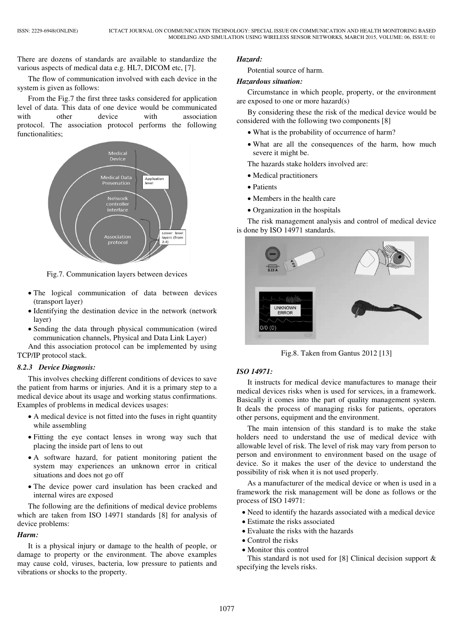There are dozens of standards are available to standardize the various aspects of medical data e.g. HL7, DICOM etc, [7].

The flow of communication involved with each device in the system is given as follows:

From the Fig.7 the first three tasks considered for application level of data. This data of one device would be communicated with other device with association protocol. The association protocol performs the following functionalities;



Fig.7. Communication layers between devices

- The logical communication of data between devices (transport layer)
- Identifying the destination device in the network (network layer)
- Sending the data through physical communication (wired communication channels, Physical and Data Link Layer)

And this association protocol can be implemented by using TCP/IP protocol stack.

# *8.2.3 Device Diagnosis:*

This involves checking different conditions of devices to save the patient from harms or injuries. And it is a primary step to a medical device about its usage and working status confirmations. Examples of problems in medical devices usages:

- A medical device is not fitted into the fuses in right quantity while assembling
- Fitting the eye contact lenses in wrong way such that placing the inside part of lens to out
- A software hazard, for patient monitoring patient the system may experiences an unknown error in critical situations and does not go off
- The device power card insulation has been cracked and internal wires are exposed

The following are the definitions of medical device problems which are taken from ISO 14971 standards [8] for analysis of device problems:

#### *Harm:*

It is a physical injury or damage to the health of people, or damage to property or the environment. The above examples may cause cold, viruses, bacteria, low pressure to patients and vibrations or shocks to the property.

#### *Hazard:*

Potential source of harm.

### *Hazardous situation:*

Circumstance in which people, property, or the environment are exposed to one or more hazard(s)

By considering these the risk of the medical device would be considered with the following two components [8]

- What is the probability of occurrence of harm?
- What are all the consequences of the harm, how much severe it might be.

The hazards stake holders involved are:

- Medical practitioners
- Patients
- Members in the health care
- Organization in the hospitals

The risk management analysis and control of medical device is done by ISO 14971 standards.



Fig.8. Taken from Gantus 2012 [13]

## *ISO 14971:*

It instructs for medical device manufactures to manage their medical devices risks when is used for services, in a framework. Basically it comes into the part of quality management system. It deals the process of managing risks for patients, operators other persons, equipment and the environment.

The main intension of this standard is to make the stake holders need to understand the use of medical device with allowable level of risk. The level of risk may vary from person to person and environment to environment based on the usage of device. So it makes the user of the device to understand the possibility of risk when it is not used properly.

As a manufacturer of the medical device or when is used in a framework the risk management will be done as follows or the process of ISO 14971:

- Need to identify the hazards associated with a medical device
- Estimate the risks associated
- Evaluate the risks with the hazards
- Control the risks • Monitor this control

This standard is not used for [8] Clinical decision support & specifying the levels risks.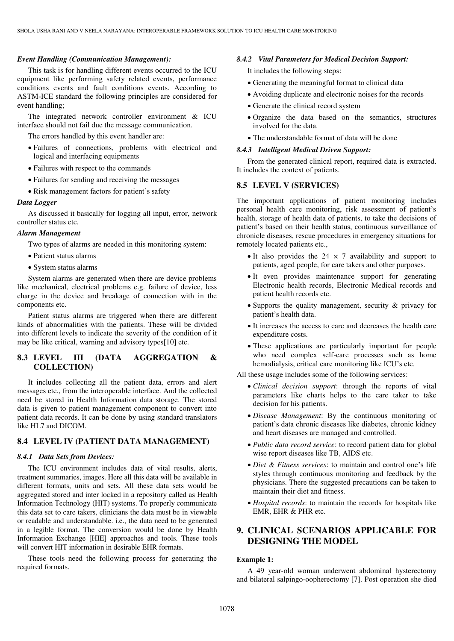#### *Event Handling (Communication Management):*

This task is for handling different events occurred to the ICU equipment like performing safety related events, performance conditions events and fault conditions events. According to ASTM-ICE standard the following principles are considered for event handling;

The integrated network controller environment & ICU interface should not fail due the message communication.

The errors handled by this event handler are:

- Failures of connections, problems with electrical and logical and interfacing equipments
- Failures with respect to the commands
- Failures for sending and receiving the messages
- Risk management factors for patient's safety

#### *Data Logger*

As discussed it basically for logging all input, error, network controller status etc.

#### *Alarm Management*

Two types of alarms are needed in this monitoring system:

- Patient status alarms
- System status alarms

System alarms are generated when there are device problems like mechanical, electrical problems e.g. failure of device, less charge in the device and breakage of connection with in the components etc.

Patient status alarms are triggered when there are different kinds of abnormalities with the patients. These will be divided into different levels to indicate the severity of the condition of it may be like critical, warning and advisory types[10] etc.

# **8.3 LEVEL III (DATA AGGREGATION & COLLECTION)**

It includes collecting all the patient data, errors and alert messages etc., from the interoperable interface. And the collected need be stored in Health Information data storage. The stored data is given to patient management component to convert into patient data records. It can be done by using standard translators like HL7 and DICOM.

## **8.4 LEVEL IV (PATIENT DATA MANAGEMENT)**

#### *8.4.1 Data Sets from Devices:*

The ICU environment includes data of vital results, alerts, treatment summaries, images. Here all this data will be available in different formats, units and sets. All these data sets would be aggregated stored and inter locked in a repository called as Health Information Technology (HIT) systems. To properly communicate this data set to care takers, clinicians the data must be in viewable or readable and understandable. i.e., the data need to be generated in a legible format. The conversion would be done by Health Information Exchange [HIE] approaches and tools. These tools will convert HIT information in desirable EHR formats.

These tools need the following process for generating the required formats.

#### *8.4.2 Vital Parameters for Medical Decision Support:*

It includes the following steps:

- Generating the meaningful format to clinical data
- Avoiding duplicate and electronic noises for the records
- Generate the clinical record system
- Organize the data based on the semantics, structures involved for the data.
- The understandable format of data will be done

### *8.4.3 Intelligent Medical Driven Support:*

From the generated clinical report, required data is extracted. It includes the context of patients.

### **8.5 LEVEL V (SERVICES)**

The important applications of patient monitoring includes personal health care monitoring, risk assessment of patient's health, storage of health data of patients, to take the decisions of patient's based on their health status, continuous surveillance of chronicle diseases, rescue procedures in emergency situations for remotely located patients etc.,

- It also provides the  $24 \times 7$  availability and support to patients, aged people, for care takers and other purposes.
- It even provides maintenance support for generating Electronic health records, Electronic Medical records and patient health records etc.
- Supports the quality management, security  $\&$  privacy for patient's health data.
- It increases the access to care and decreases the health care expenditure costs.
- These applications are particularly important for people who need complex self-care processes such as home hemodialysis, critical care monitoring like ICU's etc.

All these usage includes some of the following services:

- *Clinical decision support*: through the reports of vital parameters like charts helps to the care taker to take decision for his patients.
- *Disease Management*: By the continuous monitoring of patient's data chronic diseases like diabetes, chronic kidney and heart diseases are managed and controlled.
- *Public data record service*: to record patient data for global wise report diseases like TB, AIDS etc.
- *Diet & Fitness services*: to maintain and control one's life styles through continuous monitoring and feedback by the physicians. There the suggested precautions can be taken to maintain their diet and fitness.
- *Hospital records*: to maintain the records for hospitals like EMR, EHR & PHR etc.

# **9. CLINICAL SCENARIOS APPLICABLE FOR DESIGNING THE MODEL**

#### **Example 1:**

A 49 year-old woman underwent abdominal hysterectomy and bilateral salpingo-oopherectomy [7]. Post operation she died